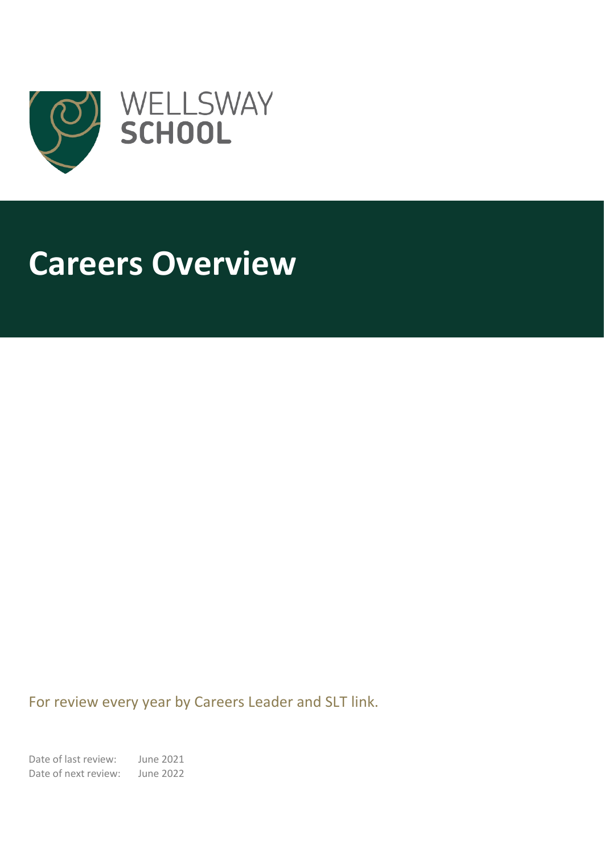

# **Careers Overview**

I

For review every year by Careers Leader and SLT link.

Date of last review: June 2021 Date of next review: June 2022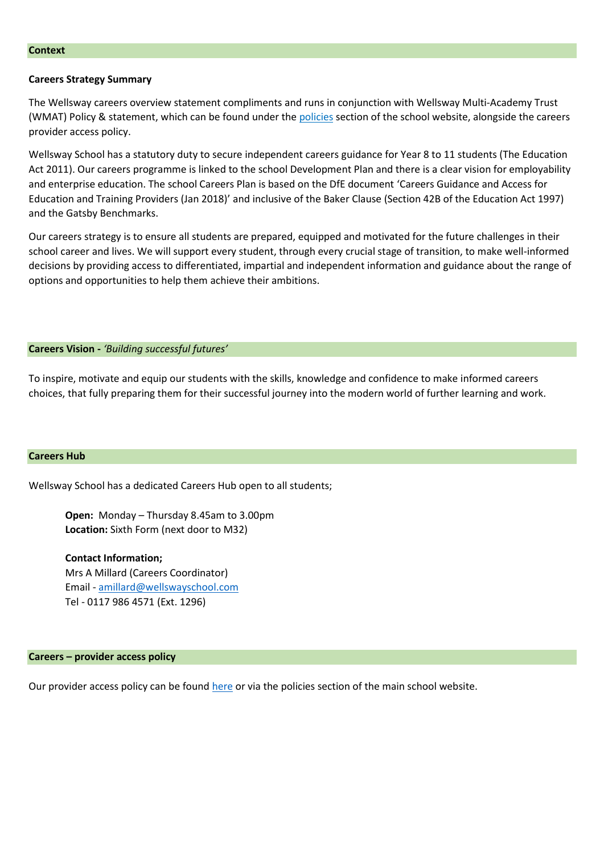## **Context**

#### **Careers Strategy Summary**

The Wellsway careers overview statement compliments and runs in conjunction with Wellsway Multi-Academy Trust (WMAT) Policy & statement, which can be found under the [policies](https://www.wellswayschool.com/parent-carer/#school-policies) section of the school website, alongside the careers provider access policy.

Wellsway School has a statutory duty to secure independent careers guidance for Year 8 to 11 students (The Education Act 2011). Our careers programme is linked to the school Development Plan and there is a clear vision for employability and enterprise education. The school Careers Plan is based on the DfE document 'Careers Guidance and Access for Education and Training Providers (Jan 2018)' and inclusive of the Baker Clause (Section 42B of the Education Act 1997) and the Gatsby Benchmarks.

Our careers strategy is to ensure all students are prepared, equipped and motivated for the future challenges in their school career and lives. We will support every student, through every crucial stage of transition, to make well-informed decisions by providing access to differentiated, impartial and independent information and guidance about the range of options and opportunities to help them achieve their ambitions.

## **Careers Vision -** *'Building successful futures'*

To inspire, motivate and equip our students with the skills, knowledge and confidence to make informed careers choices, that fully preparing them for their successful journey into the modern world of further learning and work.

#### **Careers Hub**

Wellsway School has a dedicated Careers Hub open to all students;

**Open:** Monday – Thursday 8.45am to 3.00pm **Location:** Sixth Form (next door to M32)

**Contact Information;** Mrs A Millard (Careers Coordinator) Email - [amillard@wellswayschool.com](mailto:amillard@wellswayschool.com) Tel - 0117 986 4571 (Ext. 1296)

**Careers – provider access policy**

Our provider access policy can be found [here](https://www.wellswayschool.com/assets/uploads/files/policies/Careers%20-%20Provider%20Access%20policy%20Dec%202020.pdf) or via the policies section of the main school website.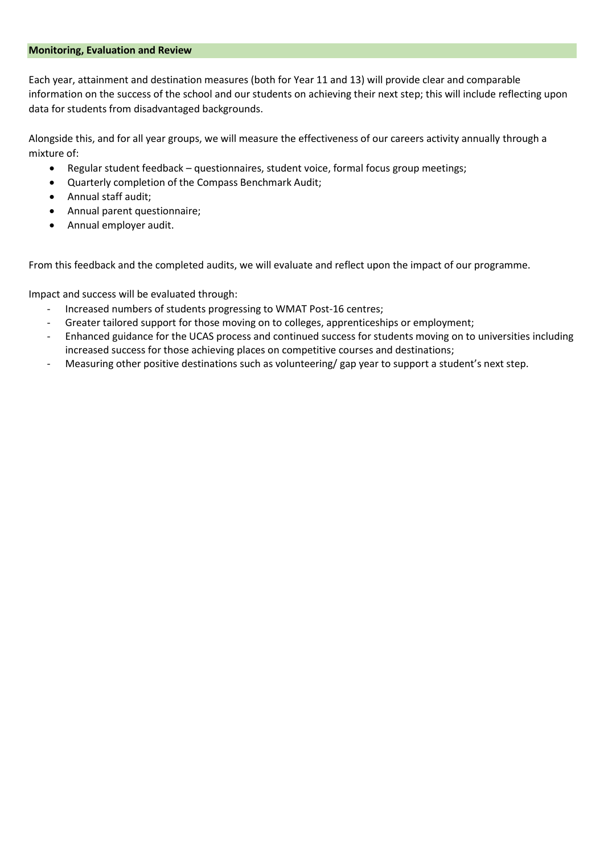# **Monitoring, Evaluation and Review**

Each year, attainment and destination measures (both for Year 11 and 13) will provide clear and comparable information on the success of the school and our students on achieving their next step; this will include reflecting upon data for students from disadvantaged backgrounds.

Alongside this, and for all year groups, we will measure the effectiveness of our careers activity annually through a mixture of:

- Regular student feedback questionnaires, student voice, formal focus group meetings;
- Quarterly completion of the Compass Benchmark Audit;
- Annual staff audit;
- Annual parent questionnaire;
- Annual employer audit.

From this feedback and the completed audits, we will evaluate and reflect upon the impact of our programme.

Impact and success will be evaluated through:

- Increased numbers of students progressing to WMAT Post-16 centres;
- Greater tailored support for those moving on to colleges, apprenticeships or employment;
- Enhanced guidance for the UCAS process and continued success for students moving on to universities including increased success for those achieving places on competitive courses and destinations;
- Measuring other positive destinations such as volunteering/ gap year to support a student's next step.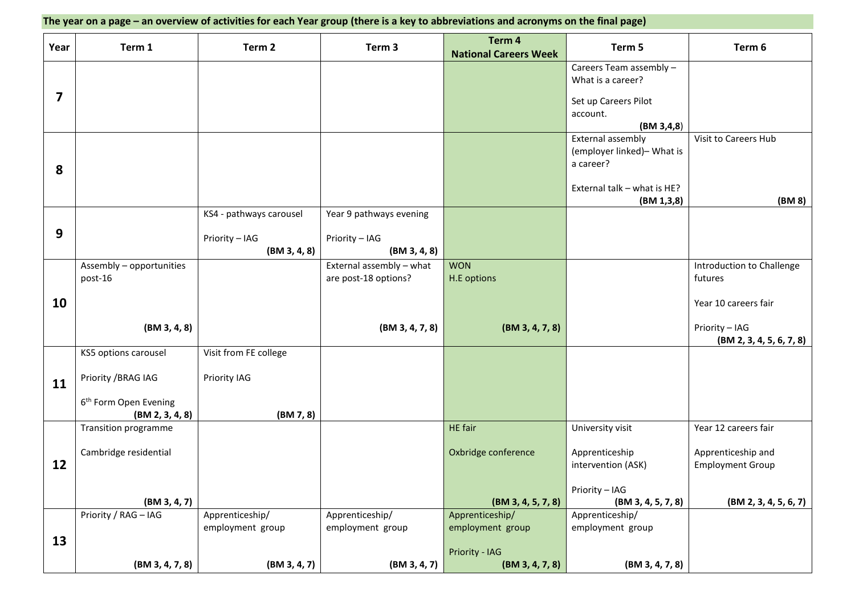| The year on a page – an overview of activities for each Year group (there is a key to abbreviations and acronyms on the final page) |                                                      |                              |                                                  |                                        |                                                              |                                               |
|-------------------------------------------------------------------------------------------------------------------------------------|------------------------------------------------------|------------------------------|--------------------------------------------------|----------------------------------------|--------------------------------------------------------------|-----------------------------------------------|
| Year                                                                                                                                | Term 1                                               | Term 2                       | Term 3                                           | Term 4<br><b>National Careers Week</b> | Term 5                                                       | Term 6                                        |
|                                                                                                                                     |                                                      |                              |                                                  |                                        | Careers Team assembly -<br>What is a career?                 |                                               |
| $\boldsymbol{7}$                                                                                                                    |                                                      |                              |                                                  |                                        | Set up Careers Pilot<br>account.<br>(BM 3, 4, 8)             |                                               |
| 8                                                                                                                                   |                                                      |                              |                                                  |                                        | External assembly<br>(employer linked)- What is<br>a career? | Visit to Careers Hub                          |
|                                                                                                                                     |                                                      |                              |                                                  |                                        | External talk - what is HE?<br>(BM 1, 3, 8)                  | (BM 8)                                        |
|                                                                                                                                     |                                                      | KS4 - pathways carousel      | Year 9 pathways evening                          |                                        |                                                              |                                               |
| 9                                                                                                                                   |                                                      | Priority - IAG<br>(BM3,,4,8) | Priority - IAG<br>(BM 3, 4, 8)                   |                                        |                                                              |                                               |
|                                                                                                                                     | Assembly - opportunities<br>post-16                  |                              | External assembly - what<br>are post-18 options? | <b>WON</b><br>H.E options              |                                                              | Introduction to Challenge<br>futures          |
| 10                                                                                                                                  |                                                      |                              |                                                  |                                        |                                                              | Year 10 careers fair                          |
|                                                                                                                                     | (BM 3, 4, 8)                                         |                              | (BM3, 4, 7, 8)                                   | (BM3, 4, 7, 8)                         |                                                              | Priority - IAG<br>(BM 2, 3, 4, 5, 6, 7, 8)    |
|                                                                                                                                     | KS5 options carousel                                 | Visit from FE college        |                                                  |                                        |                                                              |                                               |
| 11                                                                                                                                  | Priority / BRAG IAG                                  | Priority IAG                 |                                                  |                                        |                                                              |                                               |
|                                                                                                                                     | 6 <sup>th</sup> Form Open Evening<br>(BM 2, 3, 4, 8) | (BM 7, 8)                    |                                                  |                                        |                                                              |                                               |
|                                                                                                                                     | Transition programme                                 |                              |                                                  | <b>HE</b> fair                         | University visit                                             | Year 12 careers fair                          |
| 12                                                                                                                                  | Cambridge residential                                |                              |                                                  | Oxbridge conference                    | Apprenticeship<br>intervention (ASK)                         | Apprenticeship and<br><b>Employment Group</b> |
|                                                                                                                                     | (BM3, 4, 7)                                          |                              |                                                  | (BM3, 4, 5, 7, 8)                      | Priority - IAG<br>(BM3, 4, 5, 7, 8)                          | (BM 2, 3, 4, 5, 6, 7)                         |
|                                                                                                                                     | Priority / RAG - IAG                                 | Apprenticeship/              | Apprenticeship/                                  | Apprenticeship/                        | Apprenticeship/                                              |                                               |
| 13                                                                                                                                  |                                                      | employment group             | employment group                                 | employment group<br>Priority - IAG     | employment group                                             |                                               |
|                                                                                                                                     | (BM3, 4, 7, 8)                                       | (BM3,,4,7)                   | (BM3,,4,7)                                       | (BM3, 4, 7, 8)                         | (BM3, 4, 7, 8)                                               |                                               |